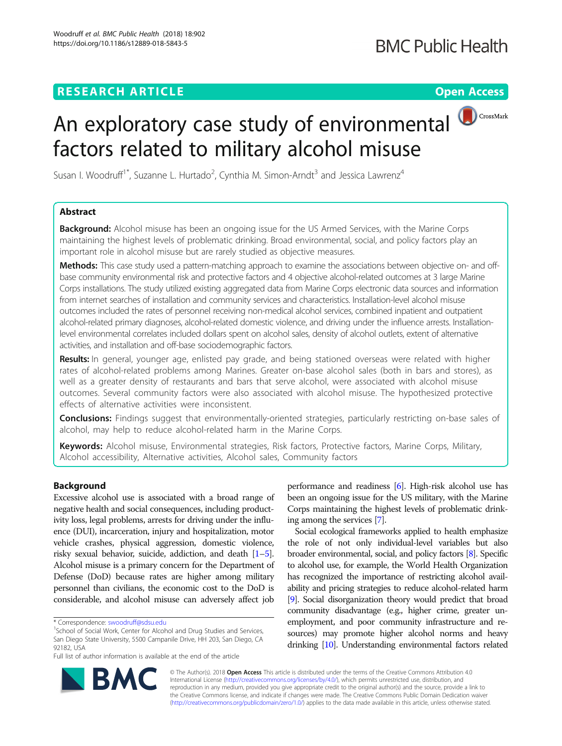## **RESEARCH ARTICLE Example 2018 12:30 THE Open Access**



# An exploratory case study of environmental factors related to military alcohol misuse

Susan I. Woodruff<sup>1\*</sup>, Suzanne L. Hurtado<sup>2</sup>, Cynthia M. Simon-Arndt<sup>3</sup> and Jessica Lawrenz<sup>4</sup>

## Abstract

**Background:** Alcohol misuse has been an ongoing issue for the US Armed Services, with the Marine Corps maintaining the highest levels of problematic drinking. Broad environmental, social, and policy factors play an important role in alcohol misuse but are rarely studied as objective measures.

Methods: This case study used a pattern-matching approach to examine the associations between objective on- and offbase community environmental risk and protective factors and 4 objective alcohol-related outcomes at 3 large Marine Corps installations. The study utilized existing aggregated data from Marine Corps electronic data sources and information from internet searches of installation and community services and characteristics. Installation-level alcohol misuse outcomes included the rates of personnel receiving non-medical alcohol services, combined inpatient and outpatient alcohol-related primary diagnoses, alcohol-related domestic violence, and driving under the influence arrests. Installationlevel environmental correlates included dollars spent on alcohol sales, density of alcohol outlets, extent of alternative activities, and installation and off-base sociodemographic factors.

Results: In general, younger age, enlisted pay grade, and being stationed overseas were related with higher rates of alcohol-related problems among Marines. Greater on-base alcohol sales (both in bars and stores), as well as a greater density of restaurants and bars that serve alcohol, were associated with alcohol misuse outcomes. Several community factors were also associated with alcohol misuse. The hypothesized protective effects of alternative activities were inconsistent.

Conclusions: Findings suggest that environmentally-oriented strategies, particularly restricting on-base sales of alcohol, may help to reduce alcohol-related harm in the Marine Corps.

Keywords: Alcohol misuse, Environmental strategies, Risk factors, Protective factors, Marine Corps, Military, Alcohol accessibility, Alternative activities, Alcohol sales, Community factors

## Background

Excessive alcohol use is associated with a broad range of negative health and social consequences, including productivity loss, legal problems, arrests for driving under the influence (DUI), incarceration, injury and hospitalization, motor vehicle crashes, physical aggression, domestic violence, risky sexual behavior, suicide, addiction, and death [\[1](#page-7-0)–[5](#page-7-0)]. Alcohol misuse is a primary concern for the Department of Defense (DoD) because rates are higher among military personnel than civilians, the economic cost to the DoD is considerable, and alcohol misuse can adversely affect job

performance and readiness [[6](#page-7-0)]. High-risk alcohol use has been an ongoing issue for the US military, with the Marine Corps maintaining the highest levels of problematic drinking among the services [\[7\]](#page-7-0).

Social ecological frameworks applied to health emphasize the role of not only individual-level variables but also broader environmental, social, and policy factors [\[8](#page-7-0)]. Specific to alcohol use, for example, the World Health Organization has recognized the importance of restricting alcohol availability and pricing strategies to reduce alcohol-related harm [[9](#page-7-0)]. Social disorganization theory would predict that broad community disadvantage (e.g., higher crime, greater unemployment, and poor community infrastructure and resources) may promote higher alcohol norms and heavy drinking [\[10](#page-8-0)]. Understanding environmental factors related



© The Author(s). 2018 Open Access This article is distributed under the terms of the Creative Commons Attribution 4.0 International License [\(http://creativecommons.org/licenses/by/4.0/](http://creativecommons.org/licenses/by/4.0/)), which permits unrestricted use, distribution, and reproduction in any medium, provided you give appropriate credit to the original author(s) and the source, provide a link to the Creative Commons license, and indicate if changes were made. The Creative Commons Public Domain Dedication waiver [\(http://creativecommons.org/publicdomain/zero/1.0/](http://creativecommons.org/publicdomain/zero/1.0/)) applies to the data made available in this article, unless otherwise stated.

<sup>\*</sup> Correspondence: [swoodruff@sdsu.edu](mailto:swoodruff@sdsu.edu) <sup>1</sup>

<sup>&</sup>lt;sup>1</sup>School of Social Work, Center for Alcohol and Drug Studies and Services, San Diego State University, 5500 Campanile Drive, HH 203, San Diego, CA 92182, USA

Full list of author information is available at the end of the article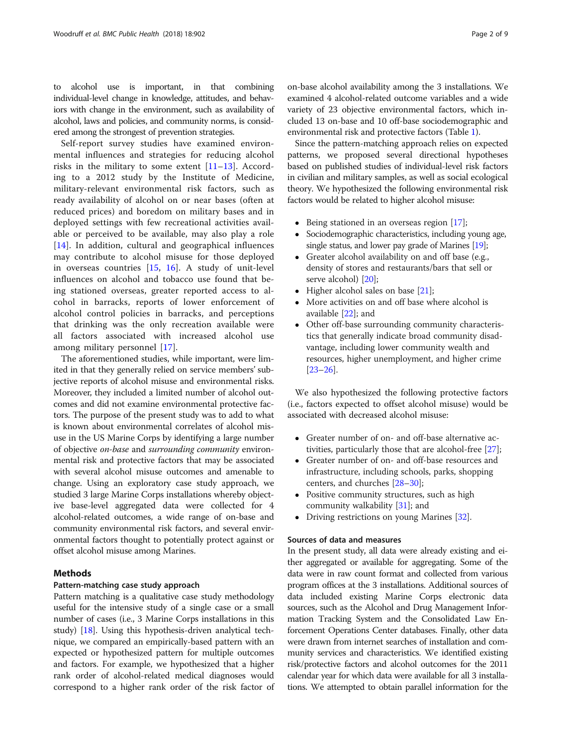to alcohol use is important, in that combining individual-level change in knowledge, attitudes, and behaviors with change in the environment, such as availability of alcohol, laws and policies, and community norms, is considered among the strongest of prevention strategies.

Self-report survey studies have examined environmental influences and strategies for reducing alcohol risks in the military to some extent [[11](#page-8-0)–[13\]](#page-8-0). According to a 2012 study by the Institute of Medicine, military-relevant environmental risk factors, such as ready availability of alcohol on or near bases (often at reduced prices) and boredom on military bases and in deployed settings with few recreational activities available or perceived to be available, may also play a role [[14\]](#page-8-0). In addition, cultural and geographical influences may contribute to alcohol misuse for those deployed in overseas countries [\[15](#page-8-0), [16](#page-8-0)]. A study of unit-level influences on alcohol and tobacco use found that being stationed overseas, greater reported access to alcohol in barracks, reports of lower enforcement of alcohol control policies in barracks, and perceptions that drinking was the only recreation available were all factors associated with increased alcohol use among military personnel [[17](#page-8-0)].

The aforementioned studies, while important, were limited in that they generally relied on service members' subjective reports of alcohol misuse and environmental risks. Moreover, they included a limited number of alcohol outcomes and did not examine environmental protective factors. The purpose of the present study was to add to what is known about environmental correlates of alcohol misuse in the US Marine Corps by identifying a large number of objective on-base and surrounding community environmental risk and protective factors that may be associated with several alcohol misuse outcomes and amenable to change. Using an exploratory case study approach, we studied 3 large Marine Corps installations whereby objective base-level aggregated data were collected for 4 alcohol-related outcomes, a wide range of on-base and community environmental risk factors, and several environmental factors thought to potentially protect against or offset alcohol misuse among Marines.

## **Methods**

## Pattern-matching case study approach

Pattern matching is a qualitative case study methodology useful for the intensive study of a single case or a small number of cases (i.e., 3 Marine Corps installations in this study) [\[18](#page-8-0)]. Using this hypothesis-driven analytical technique, we compared an empirically-based pattern with an expected or hypothesized pattern for multiple outcomes and factors. For example, we hypothesized that a higher rank order of alcohol-related medical diagnoses would correspond to a higher rank order of the risk factor of on-base alcohol availability among the 3 installations. We examined 4 alcohol-related outcome variables and a wide variety of 23 objective environmental factors, which included 13 on-base and 10 off-base sociodemographic and environmental risk and protective factors (Table [1](#page-2-0)).

Since the pattern-matching approach relies on expected patterns, we proposed several directional hypotheses based on published studies of individual-level risk factors in civilian and military samples, as well as social ecological theory. We hypothesized the following environmental risk factors would be related to higher alcohol misuse:

- Being stationed in an overseas region [[17](#page-8-0)];<br>● Sociodemographic characteristics, including
- Sociodemographic characteristics, including young age, single status, and lower pay grade of Marines [\[19](#page-8-0)];
- Greater alcohol availability on and off base (e.g., density of stores and restaurants/bars that sell or serve alcohol) [\[20\]](#page-8-0);
- $\bullet$  Higher alcohol sales on base [\[21\]](#page-8-0);
- More activities on and off base where alcohol is available [[22\]](#page-8-0); and
- Other off-base surrounding community characteristics that generally indicate broad community disadvantage, including lower community wealth and resources, higher unemployment, and higher crime [[23](#page-8-0)–[26](#page-8-0)].

We also hypothesized the following protective factors (i.e., factors expected to offset alcohol misuse) would be associated with decreased alcohol misuse:

- Greater number of on- and off-base alternative activities, particularly those that are alcohol-free [[27](#page-8-0)];
- Greater number of on- and off-base resources and infrastructure, including schools, parks, shopping centers, and churches [[28](#page-8-0)–[30\]](#page-8-0);
- Positive community structures, such as high community walkability [\[31](#page-8-0)]; and
- Driving restrictions on young Marines [\[32\]](#page-8-0).

## Sources of data and measures

In the present study, all data were already existing and either aggregated or available for aggregating. Some of the data were in raw count format and collected from various program offices at the 3 installations. Additional sources of data included existing Marine Corps electronic data sources, such as the Alcohol and Drug Management Information Tracking System and the Consolidated Law Enforcement Operations Center databases. Finally, other data were drawn from internet searches of installation and community services and characteristics. We identified existing risk/protective factors and alcohol outcomes for the 2011 calendar year for which data were available for all 3 installations. We attempted to obtain parallel information for the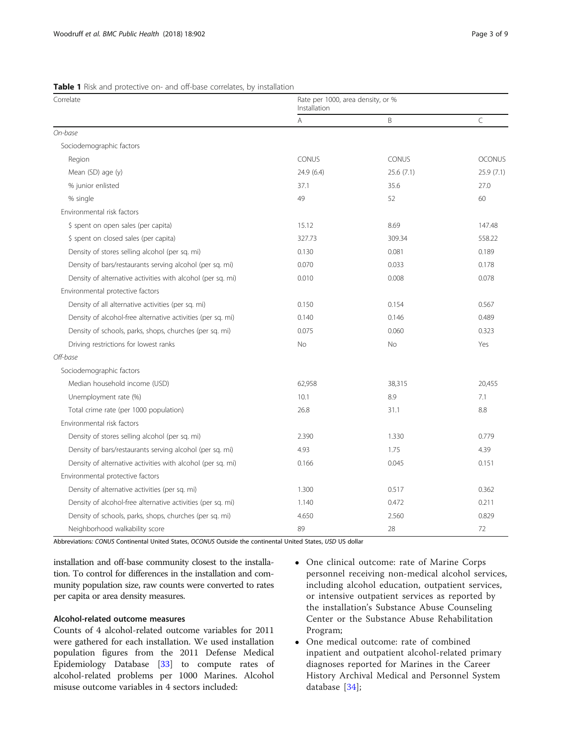| Correlate                                                   | Rate per 1000, area density, or %<br>Installation |           |               |  |
|-------------------------------------------------------------|---------------------------------------------------|-----------|---------------|--|
|                                                             | A                                                 | B         | $\subset$     |  |
| On-base                                                     |                                                   |           |               |  |
| Sociodemographic factors                                    |                                                   |           |               |  |
| Region                                                      | CONUS                                             | CONUS     | <b>OCONUS</b> |  |
| Mean (SD) age (y)                                           | 24.9 (6.4)                                        | 25.6(7.1) | 25.9(7.1)     |  |
| % junior enlisted                                           | 37.1                                              | 35.6      | 27.0          |  |
| % single                                                    | 49                                                | 52        | 60            |  |
| Environmental risk factors                                  |                                                   |           |               |  |
| \$ spent on open sales (per capita)                         | 15.12                                             | 8.69      | 147.48        |  |
| \$ spent on closed sales (per capita)                       | 327.73                                            | 309.34    | 558.22        |  |
| Density of stores selling alcohol (per sq. mi)              | 0.130                                             | 0.081     | 0.189         |  |
| Density of bars/restaurants serving alcohol (per sq. mi)    | 0.070                                             | 0.033     | 0.178         |  |
| Density of alternative activities with alcohol (per sq. mi) | 0.010                                             | 0.008     | 0.078         |  |
| Environmental protective factors                            |                                                   |           |               |  |
| Density of all alternative activities (per sq. mi)          | 0.150                                             | 0.154     | 0.567         |  |
| Density of alcohol-free alternative activities (per sq. mi) | 0.140                                             | 0.146     | 0.489         |  |
| Density of schools, parks, shops, churches (per sq. mi)     | 0.075                                             | 0.060     | 0.323         |  |
| Driving restrictions for lowest ranks                       | <b>No</b>                                         | <b>No</b> | Yes           |  |
| Off-base                                                    |                                                   |           |               |  |
| Sociodemographic factors                                    |                                                   |           |               |  |
| Median household income (USD)                               | 62,958                                            | 38,315    | 20,455        |  |
| Unemployment rate (%)                                       | 10.1                                              | 8.9       | 7.1           |  |
| Total crime rate (per 1000 population)                      | 26.8                                              | 31.1      | 8.8           |  |
| Environmental risk factors                                  |                                                   |           |               |  |
| Density of stores selling alcohol (per sq. mi)              | 2.390                                             | 1.330     | 0.779         |  |
| Density of bars/restaurants serving alcohol (per sq. mi)    | 4.93                                              | 1.75      | 4.39          |  |
| Density of alternative activities with alcohol (per sq. mi) | 0.166                                             | 0.045     | 0.151         |  |
| Environmental protective factors                            |                                                   |           |               |  |
| Density of alternative activities (per sq. mi)              | 1.300                                             | 0.517     | 0.362         |  |
| Density of alcohol-free alternative activities (per sq. mi) | 1.140                                             | 0.472     | 0.211         |  |
| Density of schools, parks, shops, churches (per sq. mi)     | 4.650                                             | 2.560     | 0.829         |  |
| Neighborhood walkability score                              | 89                                                | 28        | 72            |  |

<span id="page-2-0"></span>Table 1 Risk and protective on- and off-base correlates, by installation

Abbreviations: CONUS Continental United States, OCONUS Outside the continental United States, USD US dollar

installation and off-base community closest to the installation. To control for differences in the installation and community population size, raw counts were converted to rates per capita or area density measures.

## Alcohol-related outcome measures

Counts of 4 alcohol-related outcome variables for 2011 were gathered for each installation. We used installation population figures from the 2011 Defense Medical Epidemiology Database [\[33](#page-8-0)] to compute rates of alcohol-related problems per 1000 Marines. Alcohol misuse outcome variables in 4 sectors included:

- One clinical outcome: rate of Marine Corps personnel receiving non-medical alcohol services, including alcohol education, outpatient services, or intensive outpatient services as reported by the installation's Substance Abuse Counseling Center or the Substance Abuse Rehabilitation Program;
- One medical outcome: rate of combined inpatient and outpatient alcohol-related primary diagnoses reported for Marines in the Career History Archival Medical and Personnel System database [[34\]](#page-8-0);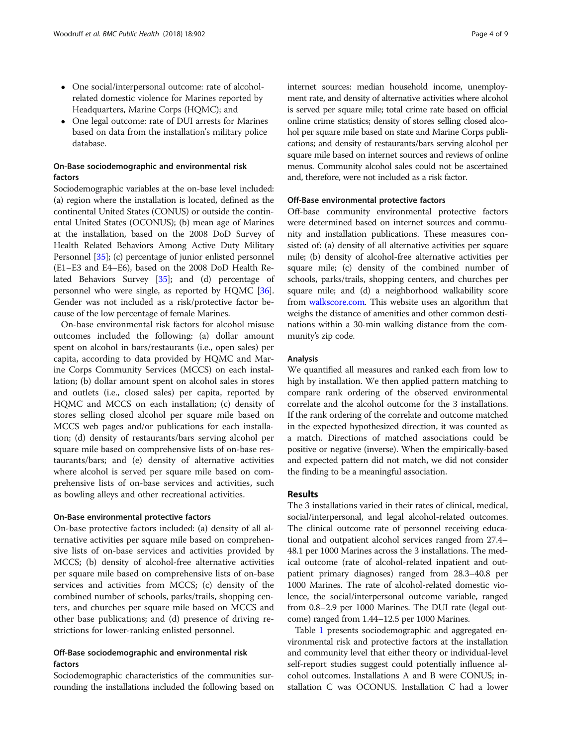- One social/interpersonal outcome: rate of alcoholrelated domestic violence for Marines reported by Headquarters, Marine Corps (HQMC); and
- One legal outcome: rate of DUI arrests for Marines based on data from the installation's military police database.

## On-Base sociodemographic and environmental risk factors

Sociodemographic variables at the on-base level included: (a) region where the installation is located, defined as the continental United States (CONUS) or outside the continental United States (OCONUS); (b) mean age of Marines at the installation, based on the 2008 DoD Survey of Health Related Behaviors Among Active Duty Military Personnel [\[35\]](#page-8-0); (c) percentage of junior enlisted personnel (E1–E3 and E4–E6), based on the 2008 DoD Health Related Behaviors Survey [[35](#page-8-0)]; and (d) percentage of personnel who were single, as reported by HQMC [[36](#page-8-0)]. Gender was not included as a risk/protective factor because of the low percentage of female Marines.

On-base environmental risk factors for alcohol misuse outcomes included the following: (a) dollar amount spent on alcohol in bars/restaurants (i.e., open sales) per capita, according to data provided by HQMC and Marine Corps Community Services (MCCS) on each installation; (b) dollar amount spent on alcohol sales in stores and outlets (i.e., closed sales) per capita, reported by HQMC and MCCS on each installation; (c) density of stores selling closed alcohol per square mile based on MCCS web pages and/or publications for each installation; (d) density of restaurants/bars serving alcohol per square mile based on comprehensive lists of on-base restaurants/bars; and (e) density of alternative activities where alcohol is served per square mile based on comprehensive lists of on-base services and activities, such as bowling alleys and other recreational activities.

#### On-Base environmental protective factors

On-base protective factors included: (a) density of all alternative activities per square mile based on comprehensive lists of on-base services and activities provided by MCCS; (b) density of alcohol-free alternative activities per square mile based on comprehensive lists of on-base services and activities from MCCS; (c) density of the combined number of schools, parks/trails, shopping centers, and churches per square mile based on MCCS and other base publications; and (d) presence of driving restrictions for lower-ranking enlisted personnel.

## Off-Base sociodemographic and environmental risk factors

Sociodemographic characteristics of the communities surrounding the installations included the following based on internet sources: median household income, unemployment rate, and density of alternative activities where alcohol is served per square mile; total crime rate based on official online crime statistics; density of stores selling closed alcohol per square mile based on state and Marine Corps publications; and density of restaurants/bars serving alcohol per square mile based on internet sources and reviews of online menus. Community alcohol sales could not be ascertained and, therefore, were not included as a risk factor.

## Off-Base environmental protective factors

Off-base community environmental protective factors were determined based on internet sources and community and installation publications. These measures consisted of: (a) density of all alternative activities per square mile; (b) density of alcohol-free alternative activities per square mile; (c) density of the combined number of schools, parks/trails, shopping centers, and churches per square mile; and (d) a neighborhood walkability score from [walkscore.com.](http://walkscore.com) This website uses an algorithm that weighs the distance of amenities and other common destinations within a 30-min walking distance from the community's zip code.

## Analysis

We quantified all measures and ranked each from low to high by installation. We then applied pattern matching to compare rank ordering of the observed environmental correlate and the alcohol outcome for the 3 installations. If the rank ordering of the correlate and outcome matched in the expected hypothesized direction, it was counted as a match. Directions of matched associations could be positive or negative (inverse). When the empirically-based and expected pattern did not match, we did not consider the finding to be a meaningful association.

## Results

The 3 installations varied in their rates of clinical, medical, social/interpersonal, and legal alcohol-related outcomes. The clinical outcome rate of personnel receiving educational and outpatient alcohol services ranged from 27.4– 48.1 per 1000 Marines across the 3 installations. The medical outcome (rate of alcohol-related inpatient and outpatient primary diagnoses) ranged from 28.3–40.8 per 1000 Marines. The rate of alcohol-related domestic violence, the social/interpersonal outcome variable, ranged from 0.8–2.9 per 1000 Marines. The DUI rate (legal outcome) ranged from 1.44–12.5 per 1000 Marines.

Table [1](#page-2-0) presents sociodemographic and aggregated environmental risk and protective factors at the installation and community level that either theory or individual-level self-report studies suggest could potentially influence alcohol outcomes. Installations A and B were CONUS; installation C was OCONUS. Installation C had a lower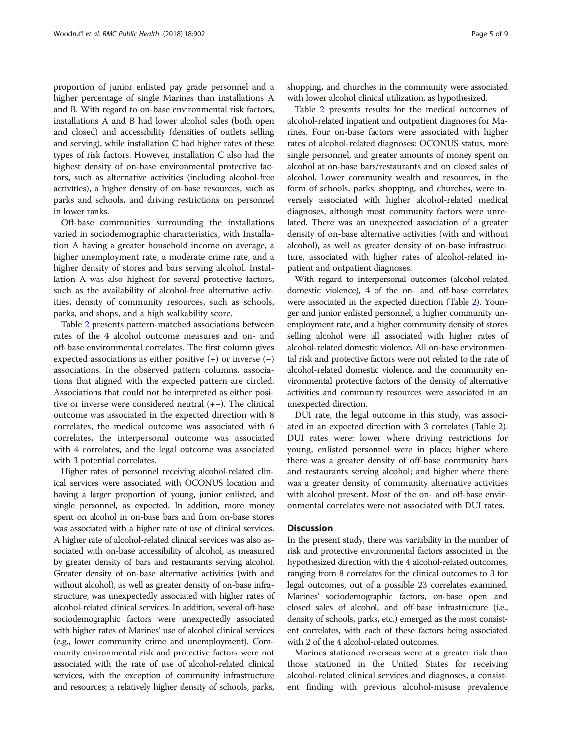proportion of junior enlisted pay grade personnel and a higher percentage of single Marines than installations A and B. With regard to on-base environmental risk factors, installations A and B had lower alcohol sales (both open and closed) and accessibility (densities of outlets selling and serving), while installation C had higher rates of these types of risk factors. However, installation C also had the highest density of on-base environmental protective factors, such as alternative activities (including alcohol-free activities), a higher density of on-base resources, such as parks and schools, and driving restrictions on personnel in lower ranks.

Off-base communities surrounding the installations varied in sociodemographic characteristics, with Installation A having a greater household income on average, a higher unemployment rate, a moderate crime rate, and a higher density of stores and bars serving alcohol. Installation A was also highest for several protective factors, such as the availability of alcohol-free alternative activities, density of community resources, such as schools, parks, and shops, and a high walkability score.

Table [2](#page-5-0) presents pattern-matched associations between rates of the 4 alcohol outcome measures and on- and off-base environmental correlates. The first column gives expected associations as either positive (+) or inverse (−) associations. In the observed pattern columns, associations that aligned with the expected pattern are circled. Associations that could not be interpreted as either positive or inverse were considered neutral (+−). The clinical outcome was associated in the expected direction with 8 correlates, the medical outcome was associated with 6 correlates, the interpersonal outcome was associated with 4 correlates, and the legal outcome was associated with 3 potential correlates.

Higher rates of personnel receiving alcohol-related clinical services were associated with OCONUS location and having a larger proportion of young, junior enlisted, and single personnel, as expected. In addition, more money spent on alcohol in on-base bars and from on-base stores was associated with a higher rate of use of clinical services. A higher rate of alcohol-related clinical services was also associated with on-base accessibility of alcohol, as measured by greater density of bars and restaurants serving alcohol. Greater density of on-base alternative activities (with and without alcohol), as well as greater density of on-base infrastructure, was unexpectedly associated with higher rates of alcohol-related clinical services. In addition, several off-base sociodemographic factors were unexpectedly associated with higher rates of Marines' use of alcohol clinical services (e.g., lower community crime and unemployment). Community environmental risk and protective factors were not associated with the rate of use of alcohol-related clinical services, with the exception of community infrastructure and resources; a relatively higher density of schools, parks,

shopping, and churches in the community were associated with lower alcohol clinical utilization, as hypothesized.

Table [2](#page-5-0) presents results for the medical outcomes of alcohol-related inpatient and outpatient diagnoses for Marines. Four on-base factors were associated with higher rates of alcohol-related diagnoses: OCONUS status, more single personnel, and greater amounts of money spent on alcohol at on-base bars/restaurants and on closed sales of alcohol. Lower community wealth and resources, in the form of schools, parks, shopping, and churches, were inversely associated with higher alcohol-related medical diagnoses, although most community factors were unrelated. There was an unexpected association of a greater density of on-base alternative activities (with and without alcohol), as well as greater density of on-base infrastructure, associated with higher rates of alcohol-related inpatient and outpatient diagnoses.

With regard to interpersonal outcomes (alcohol-related domestic violence), 4 of the on- and off-base correlates were associated in the expected direction (Table [2](#page-5-0)). Younger and junior enlisted personnel, a higher community unemployment rate, and a higher community density of stores selling alcohol were all associated with higher rates of alcohol-related domestic violence. All on-base environmental risk and protective factors were not related to the rate of alcohol-related domestic violence, and the community environmental protective factors of the density of alternative activities and community resources were associated in an unexpected direction.

DUI rate, the legal outcome in this study, was associated in an expected direction with 3 correlates (Table [2](#page-5-0)). DUI rates were: lower where driving restrictions for young, enlisted personnel were in place; higher where there was a greater density of off-base community bars and restaurants serving alcohol; and higher where there was a greater density of community alternative activities with alcohol present. Most of the on- and off-base environmental correlates were not associated with DUI rates.

## **Discussion**

In the present study, there was variability in the number of risk and protective environmental factors associated in the hypothesized direction with the 4 alcohol-related outcomes, ranging from 8 correlates for the clinical outcomes to 3 for legal outcomes, out of a possible 23 correlates examined. Marines' sociodemographic factors, on-base open and closed sales of alcohol, and off-base infrastructure (i.e., density of schools, parks, etc.) emerged as the most consistent correlates, with each of these factors being associated with 2 of the 4 alcohol-related outcomes.

Marines stationed overseas were at a greater risk than those stationed in the United States for receiving alcohol-related clinical services and diagnoses, a consistent finding with previous alcohol-misuse prevalence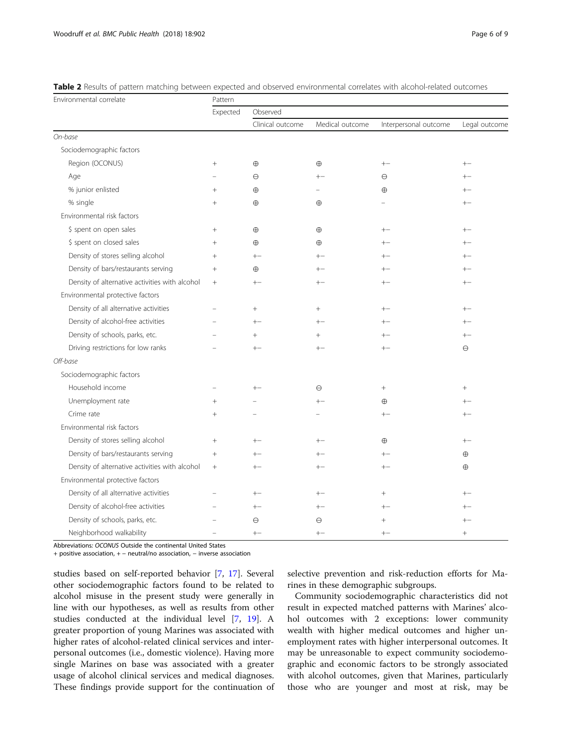| Environmental correlate                        | Pattern                  |                  |                 |                       |               |  |
|------------------------------------------------|--------------------------|------------------|-----------------|-----------------------|---------------|--|
|                                                | Expected                 | Observed         |                 |                       |               |  |
|                                                |                          | Clinical outcome | Medical outcome | Interpersonal outcome | Legal outcome |  |
| On-base                                        |                          |                  |                 |                       |               |  |
| Sociodemographic factors                       |                          |                  |                 |                       |               |  |
| Region (OCONUS)                                | $^{+}$                   | $\oplus$         | $\oplus$        | $+ -$                 | $+-$          |  |
| Age                                            |                          | $\Theta$         | $+-$            | $\Theta$              | $+-$          |  |
| % junior enlisted                              | $^{+}$                   | $\oplus$         |                 | $\oplus$              | $+-$          |  |
| % single                                       | $^{+}$                   | $\oplus$         | $\oplus$        |                       | $+-$          |  |
| Environmental risk factors                     |                          |                  |                 |                       |               |  |
| \$ spent on open sales                         | $^{+}$                   | $\oplus$         | $\oplus$        | $+-$                  | $+-$          |  |
| \$ spent on closed sales                       | $^{+}$                   | $\oplus$         | $\oplus$        | $+-$                  | $+-$          |  |
| Density of stores selling alcohol              | $+$                      | $+-$             | $+-$            |                       | $+-$          |  |
| Density of bars/restaurants serving            | $^{+}$                   | $\oplus$         | $+-$            | $^{+-}$               | $+-$          |  |
| Density of alternative activities with alcohol | $^{+}$                   | $+-$             | $+-$            | $+-$                  | $+-$          |  |
| Environmental protective factors               |                          |                  |                 |                       |               |  |
| Density of all alternative activities          | $\overline{\phantom{a}}$ | $^{+}$           | $^{+}$          | $+-$                  | $+-$          |  |
| Density of alcohol-free activities             |                          | $+-$             | $^{+-}$         | $+-$                  | $+-$          |  |
| Density of schools, parks, etc.                |                          | $^{+}$           | $+$             | $+-$                  | $+-$          |  |
| Driving restrictions for low ranks             | $\overline{\phantom{a}}$ | $+-$             | $+-$            | $+-$                  | $\Theta$      |  |
| Off-base                                       |                          |                  |                 |                       |               |  |
| Sociodemographic factors                       |                          |                  |                 |                       |               |  |
| Household income                               | $\overline{\phantom{0}}$ | $+-$             | $\ominus$       | $+$                   | $^{+}$        |  |
| Unemployment rate                              | $^{+}$                   |                  | $+-$            | $\oplus$              | $+-$          |  |
| Crime rate                                     | $+$                      |                  |                 | $^{+-}$               | $+-$          |  |
| Environmental risk factors                     |                          |                  |                 |                       |               |  |
| Density of stores selling alcohol              | $^{+}$                   | $+-$             | $+-$            | $\oplus$              | $+ -$         |  |
| Density of bars/restaurants serving            | $^{+}$                   | $+-$             | $+-$            | $+-$                  | $\oplus$      |  |
| Density of alternative activities with alcohol | $^{+}$                   | $+-$             | $+-$            | $+-$                  | $\oplus$      |  |
| Environmental protective factors               |                          |                  |                 |                       |               |  |
| Density of all alternative activities          |                          | $+-$             | $+-$            | $^{+}$                | $+-$          |  |
| Density of alcohol-free activities             |                          | $+-$             | $+-$            | $+-$                  | $+-$          |  |
| Density of schools, parks, etc.                |                          | $\Theta$         | Θ               | $^{+}$                | $+-$          |  |
| Neighborhood walkability                       |                          | $+-$             | $+-$            | $+-$                  | $+$           |  |

<span id="page-5-0"></span>

Abbreviations: OCONUS Outside the continental United States

+ positive association, + – neutral/no association, – inverse association

studies based on self-reported behavior [[7](#page-7-0), [17\]](#page-8-0). Several other sociodemographic factors found to be related to alcohol misuse in the present study were generally in line with our hypotheses, as well as results from other studies conducted at the individual level [[7](#page-7-0), [19\]](#page-8-0). A greater proportion of young Marines was associated with higher rates of alcohol-related clinical services and interpersonal outcomes (i.e., domestic violence). Having more single Marines on base was associated with a greater usage of alcohol clinical services and medical diagnoses. These findings provide support for the continuation of

selective prevention and risk-reduction efforts for Marines in these demographic subgroups.

Community sociodemographic characteristics did not result in expected matched patterns with Marines' alcohol outcomes with 2 exceptions: lower community wealth with higher medical outcomes and higher unemployment rates with higher interpersonal outcomes. It may be unreasonable to expect community sociodemographic and economic factors to be strongly associated with alcohol outcomes, given that Marines, particularly those who are younger and most at risk, may be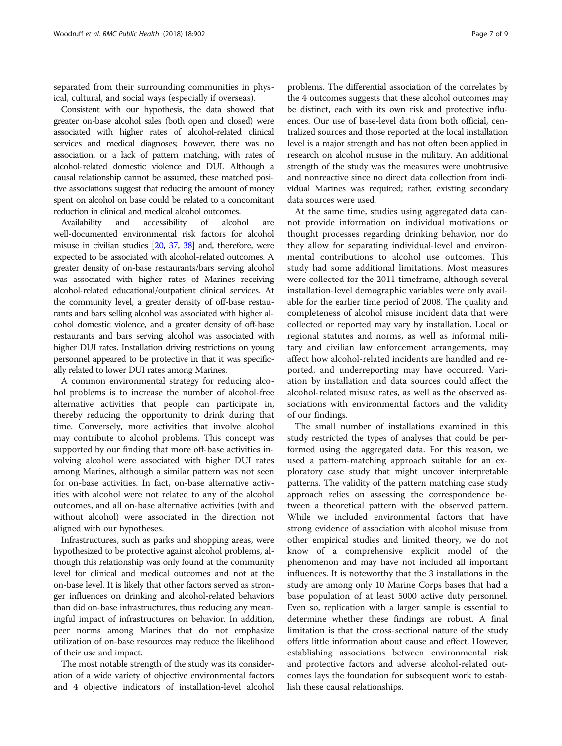separated from their surrounding communities in physical, cultural, and social ways (especially if overseas).

Consistent with our hypothesis, the data showed that greater on-base alcohol sales (both open and closed) were associated with higher rates of alcohol-related clinical services and medical diagnoses; however, there was no association, or a lack of pattern matching, with rates of alcohol-related domestic violence and DUI. Although a causal relationship cannot be assumed, these matched positive associations suggest that reducing the amount of money spent on alcohol on base could be related to a concomitant reduction in clinical and medical alcohol outcomes.

Availability and accessibility of alcohol are well-documented environmental risk factors for alcohol misuse in civilian studies [[20](#page-8-0), [37](#page-8-0), [38\]](#page-8-0) and, therefore, were expected to be associated with alcohol-related outcomes. A greater density of on-base restaurants/bars serving alcohol was associated with higher rates of Marines receiving alcohol-related educational/outpatient clinical services. At the community level, a greater density of off-base restaurants and bars selling alcohol was associated with higher alcohol domestic violence, and a greater density of off-base restaurants and bars serving alcohol was associated with higher DUI rates. Installation driving restrictions on young personnel appeared to be protective in that it was specifically related to lower DUI rates among Marines.

A common environmental strategy for reducing alcohol problems is to increase the number of alcohol-free alternative activities that people can participate in, thereby reducing the opportunity to drink during that time. Conversely, more activities that involve alcohol may contribute to alcohol problems. This concept was supported by our finding that more off-base activities involving alcohol were associated with higher DUI rates among Marines, although a similar pattern was not seen for on-base activities. In fact, on-base alternative activities with alcohol were not related to any of the alcohol outcomes, and all on-base alternative activities (with and without alcohol) were associated in the direction not aligned with our hypotheses.

Infrastructures, such as parks and shopping areas, were hypothesized to be protective against alcohol problems, although this relationship was only found at the community level for clinical and medical outcomes and not at the on-base level. It is likely that other factors served as stronger influences on drinking and alcohol-related behaviors than did on-base infrastructures, thus reducing any meaningful impact of infrastructures on behavior. In addition, peer norms among Marines that do not emphasize utilization of on-base resources may reduce the likelihood of their use and impact.

The most notable strength of the study was its consideration of a wide variety of objective environmental factors and 4 objective indicators of installation-level alcohol

problems. The differential association of the correlates by the 4 outcomes suggests that these alcohol outcomes may be distinct, each with its own risk and protective influences. Our use of base-level data from both official, centralized sources and those reported at the local installation level is a major strength and has not often been applied in research on alcohol misuse in the military. An additional strength of the study was the measures were unobtrusive and nonreactive since no direct data collection from individual Marines was required; rather, existing secondary data sources were used.

At the same time, studies using aggregated data cannot provide information on individual motivations or thought processes regarding drinking behavior, nor do they allow for separating individual-level and environmental contributions to alcohol use outcomes. This study had some additional limitations. Most measures were collected for the 2011 timeframe, although several installation-level demographic variables were only available for the earlier time period of 2008. The quality and completeness of alcohol misuse incident data that were collected or reported may vary by installation. Local or regional statutes and norms, as well as informal military and civilian law enforcement arrangements, may affect how alcohol-related incidents are handled and reported, and underreporting may have occurred. Variation by installation and data sources could affect the alcohol-related misuse rates, as well as the observed associations with environmental factors and the validity of our findings.

The small number of installations examined in this study restricted the types of analyses that could be performed using the aggregated data. For this reason, we used a pattern-matching approach suitable for an exploratory case study that might uncover interpretable patterns. The validity of the pattern matching case study approach relies on assessing the correspondence between a theoretical pattern with the observed pattern. While we included environmental factors that have strong evidence of association with alcohol misuse from other empirical studies and limited theory, we do not know of a comprehensive explicit model of the phenomenon and may have not included all important influences. It is noteworthy that the 3 installations in the study are among only 10 Marine Corps bases that had a base population of at least 5000 active duty personnel. Even so, replication with a larger sample is essential to determine whether these findings are robust. A final limitation is that the cross-sectional nature of the study offers little information about cause and effect. However, establishing associations between environmental risk and protective factors and adverse alcohol-related outcomes lays the foundation for subsequent work to establish these causal relationships.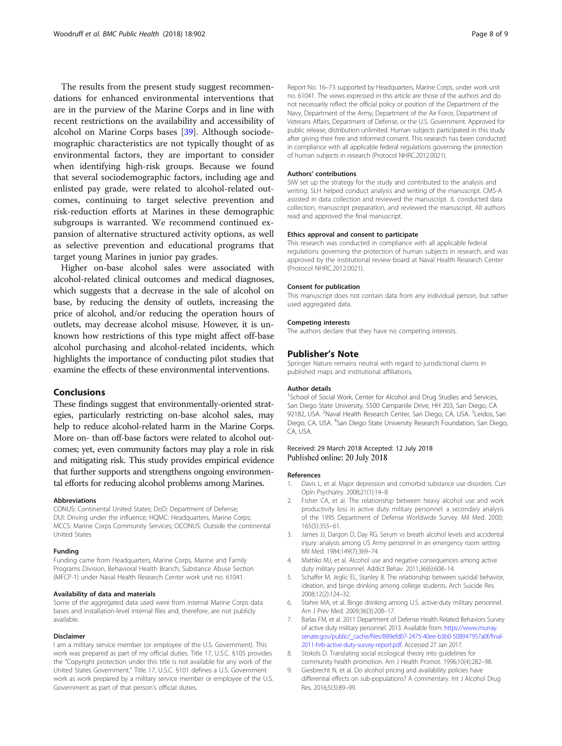<span id="page-7-0"></span>The results from the present study suggest recommendations for enhanced environmental interventions that are in the purview of the Marine Corps and in line with recent restrictions on the availability and accessibility of alcohol on Marine Corps bases [[39\]](#page-8-0). Although sociodemographic characteristics are not typically thought of as environmental factors, they are important to consider when identifying high-risk groups. Because we found that several sociodemographic factors, including age and enlisted pay grade, were related to alcohol-related outcomes, continuing to target selective prevention and risk-reduction efforts at Marines in these demographic subgroups is warranted. We recommend continued expansion of alternative structured activity options, as well as selective prevention and educational programs that target young Marines in junior pay grades.

Higher on-base alcohol sales were associated with alcohol-related clinical outcomes and medical diagnoses, which suggests that a decrease in the sale of alcohol on base, by reducing the density of outlets, increasing the price of alcohol, and/or reducing the operation hours of outlets, may decrease alcohol misuse. However, it is unknown how restrictions of this type might affect off-base alcohol purchasing and alcohol-related incidents, which highlights the importance of conducting pilot studies that examine the effects of these environmental interventions.

## Conclusions

These findings suggest that environmentally-oriented strategies, particularly restricting on-base alcohol sales, may help to reduce alcohol-related harm in the Marine Corps. More on- than off-base factors were related to alcohol outcomes; yet, even community factors may play a role in risk and mitigating risk. This study provides empirical evidence that further supports and strengthens ongoing environmental efforts for reducing alcohol problems among Marines.

#### Abbreviations

CONUS: Continental United States; DoD: Department of Defense; DUI: Driving under the influence; HQMC: Headquarters, Marine Corps; MCCS: Marine Corps Community Services; OCONUS: Outside the continental United States

#### Funding

Funding came from Headquarters, Marine Corps, Marine and Family Programs Division, Behavioral Health Branch, Substance Abuse Section (MFCP-1) under Naval Health Research Center work unit no. 61041.

#### Availability of data and materials

Some of the aggregated data used were from internal Marine Corps data bases and installation-level internal files and, therefore, are not publicly available.

#### Disclaimer

I am a military service member (or employee of the U.S. Government). This work was prepared as part of my official duties. Title 17, U.S.C. §105 provides the "Copyright protection under this title is not available for any work of the United States Government." Title 17, U.S.C. §101 defines a U.S. Government work as work prepared by a military service member or employee of the U.S. Government as part of that person's official duties.

Report No. 16–73 supported by Headquarters, Marine Corps, under work unit no. 61041. The views expressed in this article are those of the authors and do not necessarily reflect the official policy or position of the Department of the Navy, Department of the Army, Department of the Air Force, Department of Veterans Affairs, Department of Defense, or the U.S. Government. Approved for public release; distribution unlimited. Human subjects participated in this study after giving their free and informed consent. This research has been conducted in compliance with all applicable federal regulations governing the protection of human subjects in research (Protocol NHRC.2012.0021).

#### Authors' contributions

SIW set up the strategy for the study and contributed to the analysis and writing. SLH helped conduct analysis and writing of the manuscript. CMS-A assisted in data collection and reviewed the manuscript. JL conducted data collection, manuscript preparation, and reviewed the manuscript. All authors read and approved the final manuscript.

#### Ethics approval and consent to participate

This research was conducted in compliance with all applicable federal regulations governing the protection of human subjects in research, and was approved by the institutional review board at Naval Health Research Center (Protocol NHRC.2012.0021).

#### Consent for publication

This manuscript does not contain data from any individual person, but rather used aggregated data.

#### Competing interests

The authors declare that they have no competing interests.

#### Publisher's Note

Springer Nature remains neutral with regard to jurisdictional claims in published maps and institutional affiliations.

#### Author details

<sup>1</sup>School of Social Work, Center for Alcohol and Drug Studies and Services, San Diego State University, 5500 Campanile Drive, HH 203, San Diego, CA 92182, USA. <sup>2</sup>Naval Health Research Center, San Diego, CA, USA. <sup>3</sup>Leidos, San Diego, CA, USA. <sup>4</sup>San Diego State University Research Foundation, San Diego, CA, USA.

### Received: 29 March 2018 Accepted: 12 July 2018 Published online: 20 July 2018

#### References

- 1. Davis L, et al. Major depression and comorbid substance use disorders. Curr Opin Psychiatry. 2008;21(1):14–8.
- 2. Fisher CA, et al. The relationship between heavy alcohol use and work productivity loss in active duty military personnel: a secondary analysis of the 1995 Department of Defense Worldwide Survey. Mil Med. 2000; 165(5):355–61.
- 3. James JJ, Dargon D, Day RG. Serum vs breath alcohol levels and accidental injury: analysis among US Army personnel in an emergency room setting. Mil Med. 1984;149(7):369–74.
- 4. Mattiko MJ, et al. Alcohol use and negative consequences among active duty military personnel. Addict Behav. 2011;36(6):608–14.
- 5. Schaffer M, Jeglic EL, Stanley B. The relationship between suicidal behavior, ideation, and binge drinking among college students. Arch Suicide Res. 2008;12(2):124–32.
- 6. Stahre MA, et al. Binge drinking among U.S. active-duty military personnel. Am J Prev Med. 2009;36(3):208–17.
- 7. Barlas FM, et al. 2011 Department of Defense Health Related Behaviors Survey of active duty military personnel. 2013. Available from: [https://www.murray.](https://www.murray.senate.gov/public/_cache/files/889efd07-2475-40ee-b3b0-508947957a0f/final-2011-hrb-active-duty-survey-report.pdf) [senate.gov/public/\\_cache/files/889efd07-2475-40ee-b3b0-508947957a0f/final-](https://www.murray.senate.gov/public/_cache/files/889efd07-2475-40ee-b3b0-508947957a0f/final-2011-hrb-active-duty-survey-report.pdf)[2011-hrb-active-duty-survey-report.pdf.](https://www.murray.senate.gov/public/_cache/files/889efd07-2475-40ee-b3b0-508947957a0f/final-2011-hrb-active-duty-survey-report.pdf) Accessed 27 Jan 2017.
- 8. Stokols D. Translating social ecological theory into guidelines for community health promotion. Am J Health Promot. 1996;10(4):282–98.
- Giesbrecht N, et al. Do alcohol pricing and availability policies have differential effects on sub-populations? A commentary. Int J Alcohol Drug Res. 2016;5(3):89–99.